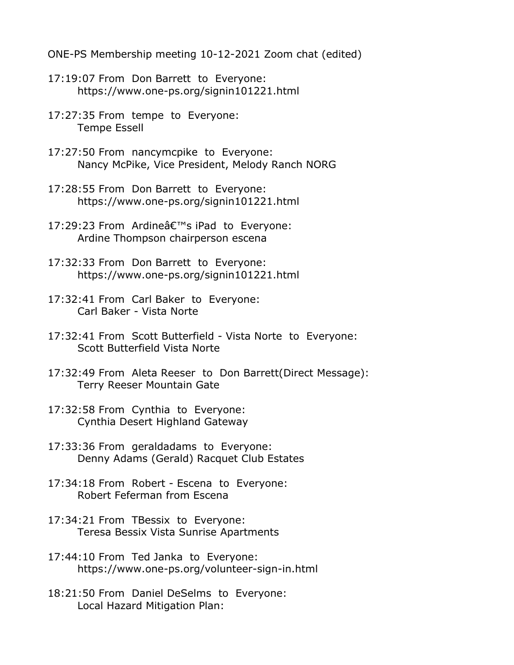ONE-PS Membership meeting 10-12-2021 Zoom chat (edited)

- 17:19:07 From Don Barrett to Everyone: https://www.one-ps.org/signin101221.html
- 17:27:35 From tempe to Everyone: Tempe Essell
- 17:27:50 From nancymcpike to Everyone: Nancy McPike, Vice President, Melody Ranch NORG
- 17:28:55 From Don Barrett to Everyone: https://www.one-ps.org/signin101221.html
- 17:29:23 From Ardine's iPad to Everyone: Ardine Thompson chairperson escena
- 17:32:33 From Don Barrett to Everyone: https://www.one-ps.org/signin101221.html
- 17:32:41 From Carl Baker to Everyone: Carl Baker - Vista Norte
- 17:32:41 From Scott Butterfield Vista Norte to Everyone: Scott Butterfield Vista Norte
- 17:32:49 From Aleta Reeser to Don Barrett(Direct Message): Terry Reeser Mountain Gate
- 17:32:58 From Cynthia to Everyone: Cynthia Desert Highland Gateway
- 17:33:36 From geraldadams to Everyone: Denny Adams (Gerald) Racquet Club Estates
- 17:34:18 From Robert Escena to Everyone: Robert Feferman from Escena
- 17:34:21 From TBessix to Everyone: Teresa Bessix Vista Sunrise Apartments
- 17:44:10 From Ted Janka to Everyone: https://www.one-ps.org/volunteer-sign-in.html
- 18:21:50 From Daniel DeSelms to Everyone: Local Hazard Mitigation Plan: